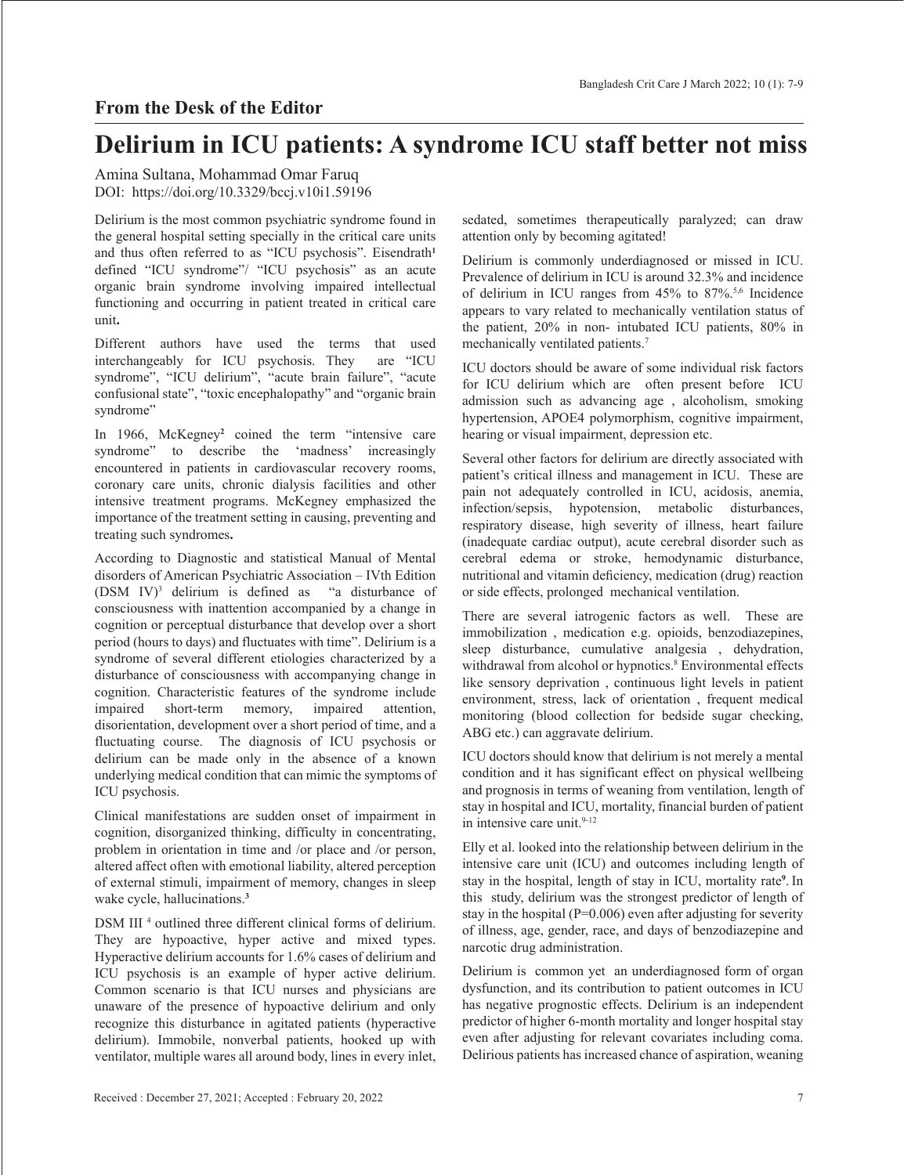## **From the Desk of the Editor**

## **Delirium in ICU patients: A syndrome ICU staff better not miss**

Amina Sultana, Mohammad Omar Faruq DOI: https://doi.org/10.3329/bccj.v10i1.59196

Delirium is the most common psychiatric syndrome found in the general hospital setting specially in the critical care units and thus often referred to as "ICU psychosis". Eisendrath<sup>1</sup> defined "ICU syndrome"/ "ICU psychosis" as an acute organic brain syndrome involving impaired intellectual functioning and occurring in patient treated in critical care unit**.** 

Different authors have used the terms that used<br>interchangeably for ICU psychosis. They are "ICU interchangeably for ICU psychosis. They syndrome", "ICU delirium", "acute brain failure", "acute confusional state", "toxic encephalopathy" and "organic brain syndrome"

In 1966, McKegney<sup>2</sup> coined the term "intensive care syndrome" to describe the 'madness' increasingly encountered in patients in cardiovascular recovery rooms, coronary care units, chronic dialysis facilities and other intensive treatment programs. McKegney emphasized the importance of the treatment setting in causing, preventing and treating such syndromes**.** 

According to Diagnostic and statistical Manual of Mental disorders of American Psychiatric Association – IVth Edition  $(DSM IV)<sup>3</sup>$  delirium is defined as "a disturbance of consciousness with inattention accompanied by a change in cognition or perceptual disturbance that develop over a short period (hours to days) and fluctuates with time". Delirium is a syndrome of several different etiologies characterized by a disturbance of consciousness with accompanying change in cognition. Characteristic features of the syndrome include impaired short-term memory, impaired attention, disorientation, development over a short period of time, and a fluctuating course. The diagnosis of ICU psychosis or delirium can be made only in the absence of a known underlying medical condition that can mimic the symptoms of ICU psychosis.

Clinical manifestations are sudden onset of impairment in cognition, disorganized thinking, difficulty in concentrating, problem in orientation in time and /or place and /or person, altered affect often with emotional liability, altered perception of external stimuli, impairment of memory, changes in sleep wake cycle, hallucinations.**<sup>3</sup>**

DSM III<sup>4</sup> outlined three different clinical forms of delirium. They are hypoactive, hyper active and mixed types. Hyperactive delirium accounts for 1.6% cases of delirium and ICU psychosis is an example of hyper active delirium. Common scenario is that ICU nurses and physicians are unaware of the presence of hypoactive delirium and only recognize this disturbance in agitated patients (hyperactive delirium). Immobile, nonverbal patients, hooked up with ventilator, multiple wares all around body, lines in every inlet, sedated, sometimes therapeutically paralyzed; can draw attention only by becoming agitated!

Delirium is commonly underdiagnosed or missed in ICU. Prevalence of delirium in ICU is around 32.3% and incidence of delirium in ICU ranges from 45% to 87%.5,6 Incidence appears to vary related to mechanically ventilation status of the patient, 20% in non- intubated ICU patients, 80% in mechanically ventilated patients.7

ICU doctors should be aware of some individual risk factors for ICU delirium which are often present before ICU admission such as advancing age , alcoholism, smoking hypertension, APOE4 polymorphism, cognitive impairment, hearing or visual impairment, depression etc.

Several other factors for delirium are directly associated with patient's critical illness and management in ICU. These are pain not adequately controlled in ICU, acidosis, anemia, infection/sepsis, hypotension, metabolic disturbances, respiratory disease, high severity of illness, heart failure (inadequate cardiac output), acute cerebral disorder such as cerebral edema or stroke, hemodynamic disturbance, nutritional and vitamin deficiency, medication (drug) reaction or side effects, prolonged mechanical ventilation.

There are several iatrogenic factors as well. These are immobilization , medication e.g. opioids, benzodiazepines, sleep disturbance, cumulative analgesia , dehydration, withdrawal from alcohol or hypnotics.<sup>8</sup> Environmental effects like sensory deprivation , continuous light levels in patient environment, stress, lack of orientation , frequent medical monitoring (blood collection for bedside sugar checking, ABG etc.) can aggravate delirium.

ICU doctors should know that delirium is not merely a mental condition and it has significant effect on physical wellbeing and prognosis in terms of weaning from ventilation, length of stay in hospital and ICU, mortality, financial burden of patient in intensive care unit. $9-12$ 

Elly et al. looked into the relationship between delirium in the intensive care unit (ICU) and outcomes including length of stay in the hospital, length of stay in ICU, mortality rate**<sup>9</sup>** . In this study, delirium was the strongest predictor of length of stay in the hospital (P=0.006) even after adjusting for severity of illness, age, gender, race, and days of benzodiazepine and narcotic drug administration.

Delirium is common yet an underdiagnosed form of organ dysfunction, and its contribution to patient outcomes in ICU has negative prognostic effects. Delirium is an independent predictor of higher 6-month mortality and longer hospital stay even after adjusting for relevant covariates including coma. Delirious patients has increased chance of aspiration, weaning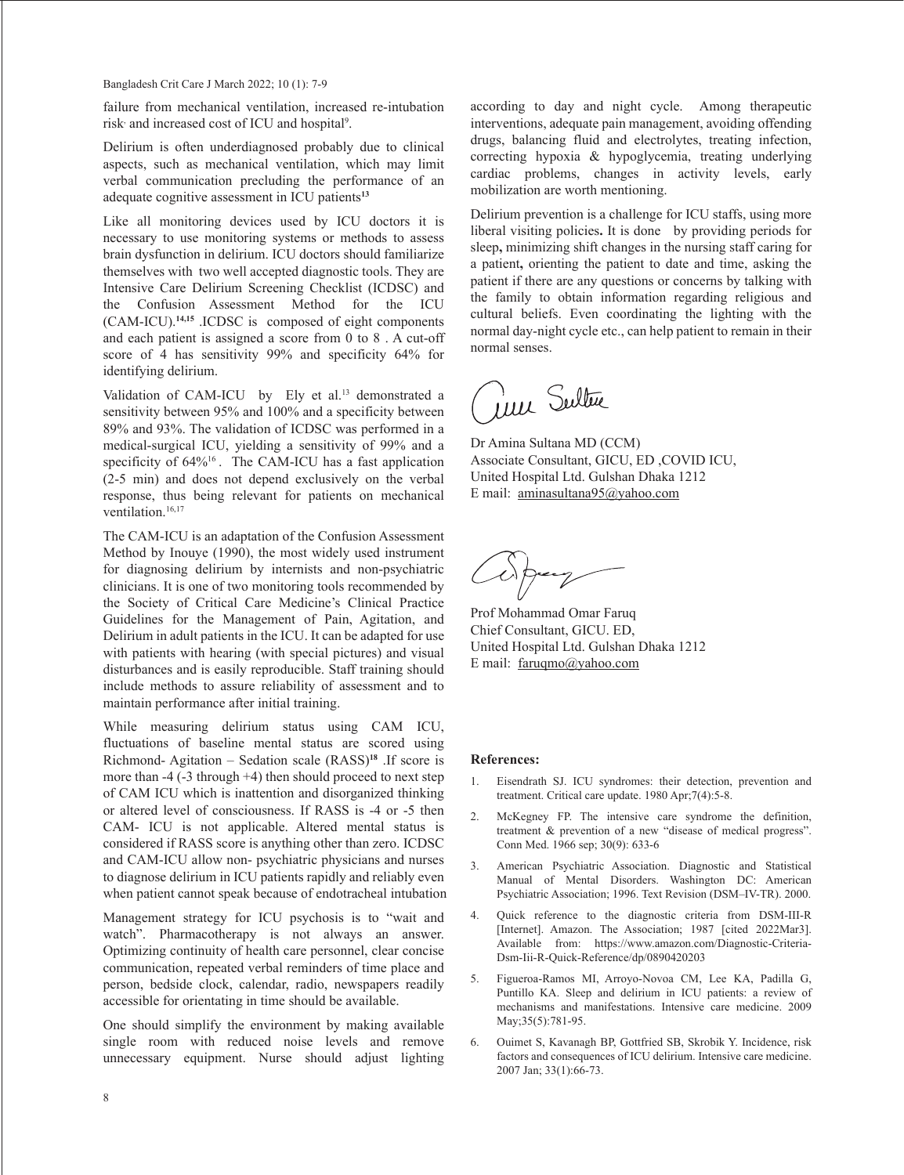Bangladesh Crit Care J March 2022; 10 (1): 7-9

failure from mechanical ventilation, increased re-intubation risk and increased cost of ICU and hospital<sup>9</sup>.

Delirium is often underdiagnosed probably due to clinical aspects, such as mechanical ventilation, which may limit verbal communication precluding the performance of an adequate cognitive assessment in ICU patients**<sup>13</sup>**

Like all monitoring devices used by ICU doctors it is necessary to use monitoring systems or methods to assess brain dysfunction in delirium. ICU doctors should familiarize themselves with two well accepted diagnostic tools. They are Intensive Care Delirium Screening Checklist (ICDSC) and the Confusion Assessment Method for the ICU (CAM-ICU).**14,15** .ICDSC is composed of eight components and each patient is assigned a score from 0 to 8 . A cut-off score of 4 has sensitivity 99% and specificity 64% for identifying delirium.

Validation of CAM-ICU by Ely et al.<sup>13</sup> demonstrated a sensitivity between 95% and 100% and a specificity between 89% and 93%. The validation of ICDSC was performed in a medical-surgical ICU, yielding a sensitivity of 99% and a specificity of  $64\%$ <sup>16</sup>. The CAM-ICU has a fast application (2-5 min) and does not depend exclusively on the verbal response, thus being relevant for patients on mechanical ventilation.<sup>16,17</sup>

The CAM-ICU is an adaptation of the Confusion Assessment Method by Inouye (1990), the most widely used instrument for diagnosing delirium by internists and non-psychiatric clinicians. It is one of two monitoring tools recommended by the Society of Critical Care Medicine's Clinical Practice Guidelines for the Management of Pain, Agitation, and Delirium in adult patients in the ICU. It can be adapted for use with patients with hearing (with special pictures) and visual disturbances and is easily reproducible. Staff training should include methods to assure reliability of assessment and to maintain performance after initial training.

While measuring delirium status using CAM ICU, fluctuations of baseline mental status are scored using Richmond- Agitation – Sedation scale (RASS)**<sup>18</sup>** .If score is more than -4 (-3 through +4) then should proceed to next step of CAM ICU which is inattention and disorganized thinking or altered level of consciousness. If RASS is -4 or -5 then CAM- ICU is not applicable. Altered mental status is considered if RASS score is anything other than zero. ICDSC and CAM-ICU allow non- psychiatric physicians and nurses to diagnose delirium in ICU patients rapidly and reliably even when patient cannot speak because of endotracheal intubation

Management strategy for ICU psychosis is to "wait and watch". Pharmacotherapy is not always an answer. Optimizing continuity of health care personnel, clear concise communication, repeated verbal reminders of time place and person, bedside clock, calendar, radio, newspapers readily accessible for orientating in time should be available.

One should simplify the environment by making available single room with reduced noise levels and remove unnecessary equipment. Nurse should adjust lighting according to day and night cycle. Among therapeutic interventions, adequate pain management, avoiding offending drugs, balancing fluid and electrolytes, treating infection, correcting hypoxia & hypoglycemia, treating underlying cardiac problems, changes in activity levels, early mobilization are worth mentioning.

Delirium prevention is a challenge for ICU staffs, using more liberal visiting policies**.** It is doneby providing periods for sleep**,** minimizing shift changes in the nursing staff caring for a patient**,** orienting the patient to date and time, asking the patient if there are any questions or concerns by talking with the family to obtain information regarding religious and cultural beliefs. Even coordinating the lighting with the normal day-night cycle etc., can help patient to remain in their normal senses.

Jul Sultur

Dr Amina Sultana MD (CCM) Associate Consultant, GICU, ED ,COVID ICU, United Hospital Ltd. Gulshan Dhaka 1212 E mail: aminasultana95@yahoo.com

Prof Mohammad Omar Faruq Chief Consultant, GICU. ED, United Hospital Ltd. Gulshan Dhaka 1212 E mail: faruqmo@yahoo.com

## **References:**

- 1. Eisendrath SJ. ICU syndromes: their detection, prevention and treatment. Critical care update. 1980 Apr;7(4):5-8.
- 2. McKegney FP. The intensive care syndrome the definition, treatment & prevention of a new "disease of medical progress". Conn Med. 1966 sep; 30(9): 633-6
- 3. American Psychiatric Association. Diagnostic and Statistical Manual of Mental Disorders. Washington DC: American Psychiatric Association; 1996. Text Revision (DSM–IV-TR). 2000.
- 4. Quick reference to the diagnostic criteria from DSM-III-R [Internet]. Amazon. The Association; 1987 [cited 2022Mar3]. Available from: https://www.amazon.com/Diagnostic-Criteria-Dsm-Iii-R-Quick-Reference/dp/0890420203
- 5. Figueroa-Ramos MI, Arroyo-Novoa CM, Lee KA, Padilla G, Puntillo KA. Sleep and delirium in ICU patients: a review of mechanisms and manifestations. Intensive care medicine. 2009 May;35(5):781-95.
- 6. Ouimet S, Kavanagh BP, Gottfried SB, Skrobik Y. Incidence, risk factors and consequences of ICU delirium. Intensive care medicine. 2007 Jan; 33(1):66-73.